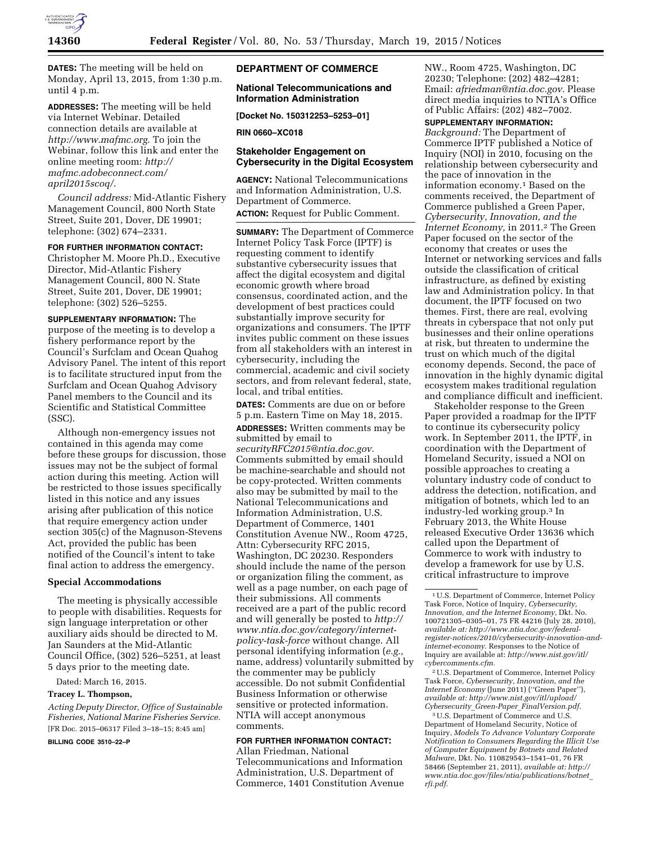

**DATES:** The meeting will be held on Monday, April 13, 2015, from 1:30 p.m. until 4 p.m.

**ADDRESSES:** The meeting will be held via Internet Webinar. Detailed connection details are available at *<http://www.mafmc.org>*. To join the Webinar, follow this link and enter the online meeting room: *[http://](http://mafmc.adobeconnect.com/april2015scoq/) [mafmc.adobeconnect.com/](http://mafmc.adobeconnect.com/april2015scoq/) [april2015scoq/](http://mafmc.adobeconnect.com/april2015scoq/)*.

*Council address:* Mid-Atlantic Fishery Management Council, 800 North State Street, Suite 201, Dover, DE 19901; telephone: (302) 674–2331.

## **FOR FURTHER INFORMATION CONTACT:**

Christopher M. Moore Ph.D., Executive Director, Mid-Atlantic Fishery Management Council, 800 N. State Street, Suite 201, Dover, DE 19901; telephone: (302) 526–5255.

**SUPPLEMENTARY INFORMATION:** The purpose of the meeting is to develop a fishery performance report by the Council's Surfclam and Ocean Quahog Advisory Panel. The intent of this report is to facilitate structured input from the Surfclam and Ocean Quahog Advisory Panel members to the Council and its Scientific and Statistical Committee (SSC).

Although non-emergency issues not contained in this agenda may come before these groups for discussion, those issues may not be the subject of formal action during this meeting. Action will be restricted to those issues specifically listed in this notice and any issues arising after publication of this notice that require emergency action under section 305(c) of the Magnuson-Stevens Act, provided the public has been notified of the Council's intent to take final action to address the emergency.

## **Special Accommodations**

The meeting is physically accessible to people with disabilities. Requests for sign language interpretation or other auxiliary aids should be directed to M. Jan Saunders at the Mid-Atlantic Council Office, (302) 526–5251, at least 5 days prior to the meeting date.

Dated: March 16, 2015.

# **Tracey L. Thompson,**

*Acting Deputy Director, Office of Sustainable Fisheries, National Marine Fisheries Service.*  [FR Doc. 2015–06317 Filed 3–18–15; 8:45 am]

**BILLING CODE 3510–22–P** 

## **DEPARTMENT OF COMMERCE**

## **National Telecommunications and Information Administration**

**[Docket No. 150312253–5253–01]** 

#### **RIN 0660–XC018**

## **Stakeholder Engagement on Cybersecurity in the Digital Ecosystem**

**AGENCY:** National Telecommunications and Information Administration, U.S. Department of Commerce.

**ACTION:** Request for Public Comment.

**SUMMARY:** The Department of Commerce Internet Policy Task Force (IPTF) is requesting comment to identify substantive cybersecurity issues that affect the digital ecosystem and digital economic growth where broad consensus, coordinated action, and the development of best practices could substantially improve security for organizations and consumers. The IPTF invites public comment on these issues from all stakeholders with an interest in cybersecurity, including the commercial, academic and civil society sectors, and from relevant federal, state, local, and tribal entities.

**DATES:** Comments are due on or before 5 p.m. Eastern Time on May 18, 2015.

**ADDRESSES:** Written comments may be submitted by email to *[securityRFC2015@ntia.doc.gov.](mailto:securityRFC2015@ntia.doc.gov)*  Comments submitted by email should be machine-searchable and should not be copy-protected. Written comments also may be submitted by mail to the National Telecommunications and Information Administration, U.S. Department of Commerce, 1401 Constitution Avenue NW., Room 4725, Attn: Cybersecurity RFC 2015, Washington, DC 20230. Responders should include the name of the person or organization filing the comment, as well as a page number, on each page of their submissions. All comments received are a part of the public record and will generally be posted to *[http://](http://www.ntia.doc.gov/category/internet-policy-task-force) [www.ntia.doc.gov/category/internet](http://www.ntia.doc.gov/category/internet-policy-task-force)[policy-task-force](http://www.ntia.doc.gov/category/internet-policy-task-force)* without change. All personal identifying information (*e.g.,*  name, address) voluntarily submitted by the commenter may be publicly accessible. Do not submit Confidential Business Information or otherwise sensitive or protected information. NTIA will accept anonymous comments.

# **FOR FURTHER INFORMATION CONTACT:**

Allan Friedman, National Telecommunications and Information Administration, U.S. Department of Commerce, 1401 Constitution Avenue NW., Room 4725, Washington, DC 20230; Telephone: (202) 482–4281; Email: *[afriedman@ntia.doc.gov.](mailto:afriedman@ntia.doc.gov)* Please direct media inquiries to NTIA's Office of Public Affairs: (202) 482–7002.

## **SUPPLEMENTARY INFORMATION:**

*Background:* The Department of Commerce IPTF published a Notice of Inquiry (NOI) in 2010, focusing on the relationship between cybersecurity and the pace of innovation in the information economy.1 Based on the comments received, the Department of Commerce published a Green Paper, *Cybersecurity, Innovation, and the Internet Economy,* in 2011.2 The Green Paper focused on the sector of the economy that creates or uses the Internet or networking services and falls outside the classification of critical infrastructure, as defined by existing law and Administration policy. In that document, the IPTF focused on two themes. First, there are real, evolving threats in cyberspace that not only put businesses and their online operations at risk, but threaten to undermine the trust on which much of the digital economy depends. Second, the pace of innovation in the highly dynamic digital ecosystem makes traditional regulation and compliance difficult and inefficient.

Stakeholder response to the Green Paper provided a roadmap for the IPTF to continue its cybersecurity policy work. In September 2011, the IPTF, in coordination with the Department of Homeland Security, issued a NOI on possible approaches to creating a voluntary industry code of conduct to address the detection, notification, and mitigation of botnets, which led to an industry-led working group.3 In February 2013, the White House released Executive Order 13636 which called upon the Department of Commerce to work with industry to develop a framework for use by U.S. critical infrastructure to improve

2U.S. Department of Commerce, Internet Policy Task Force, *Cybersecurity, Innovation, and the Internet Economy* (June 2011) (''Green Paper''), *available at: [http://www.nist.gov/itl/upload/](http://www.nist.gov/itl/upload/Cybersecurity_Green-Paper_FinalVersion.pdf) Cybersecurity*\_*Green-Paper*\_*[FinalVersion.pdf.](http://www.nist.gov/itl/upload/Cybersecurity_Green-Paper_FinalVersion.pdf)* 

3U.S. Department of Commerce and U.S. Department of Homeland Security, Notice of Inquiry, *Models To Advance Voluntary Corporate Notification to Consumers Regarding the Illicit Use of Computer Equipment by Botnets and Related Malware,* Dkt. No. 110829543–1541–01, 76 FR 58466 (September 21, 2011), *available at: [http://](http://www.ntia.doc.gov/files/ntia/publications/botnet_rfi.pdf) [www.ntia.doc.gov/files/ntia/publications/botnet](http://www.ntia.doc.gov/files/ntia/publications/botnet_rfi.pdf)*\_ *[rfi.pdf.](http://www.ntia.doc.gov/files/ntia/publications/botnet_rfi.pdf)* 

<sup>1</sup>U.S. Department of Commerce, Internet Policy Task Force, Notice of Inquiry, *Cybersecurity, Innovation, and the Internet Economy,* Dkt. No. 100721305–0305–01, 75 FR 44216 (July 28, 2010), *available at: [http://www.ntia.doc.gov/federal](http://www.ntia.doc.gov/federal-register-notices/2010/cybersecurity-innovation-and-internet-economy)[register-notices/2010/cybersecurity-innovation-and](http://www.ntia.doc.gov/federal-register-notices/2010/cybersecurity-innovation-and-internet-economy)[internet-economy.](http://www.ntia.doc.gov/federal-register-notices/2010/cybersecurity-innovation-and-internet-economy)* Responses to the Notice of Inquiry are available at: *[http://www.nist.gov/itl/](http://www.nist.gov/itl/cybercomments.cfm) [cybercomments.cfm.](http://www.nist.gov/itl/cybercomments.cfm)*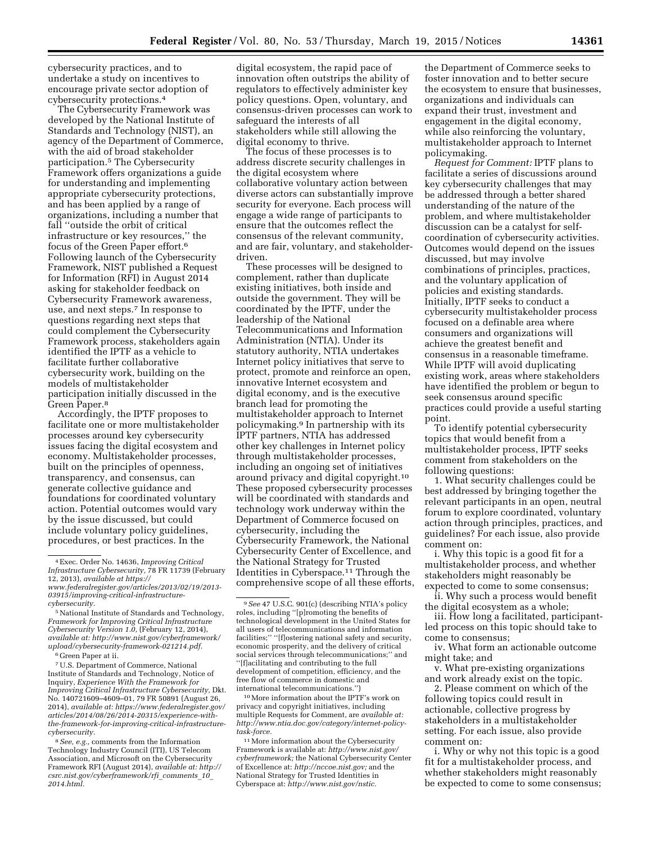cybersecurity practices, and to undertake a study on incentives to encourage private sector adoption of cybersecurity protections.4

The Cybersecurity Framework was developed by the National Institute of Standards and Technology (NIST), an agency of the Department of Commerce, with the aid of broad stakeholder participation.5 The Cybersecurity Framework offers organizations a guide for understanding and implementing appropriate cybersecurity protections, and has been applied by a range of organizations, including a number that fall ''outside the orbit of critical infrastructure or key resources,'' the focus of the Green Paper effort.6 Following launch of the Cybersecurity Framework, NIST published a Request for Information (RFI) in August 2014 asking for stakeholder feedback on Cybersecurity Framework awareness, use, and next steps.7 In response to questions regarding next steps that could complement the Cybersecurity Framework process, stakeholders again identified the IPTF as a vehicle to facilitate further collaborative cybersecurity work, building on the models of multistakeholder participation initially discussed in the Green Paper.8

Accordingly, the IPTF proposes to facilitate one or more multistakeholder processes around key cybersecurity issues facing the digital ecosystem and economy. Multistakeholder processes, built on the principles of openness, transparency, and consensus, can generate collective guidance and foundations for coordinated voluntary action. Potential outcomes would vary by the issue discussed, but could include voluntary policy guidelines, procedures, or best practices. In the

6 Green Paper at ii.

7U.S. Department of Commerce, National Institute of Standards and Technology, Notice of Inquiry, *Experience With the Framework for Improving Critical Infrastructure Cybersecurity,* Dkt. No. 140721609–4609–01, 79 FR 50891 (August 26, 2014), *available at: [https://www.federalregister.gov/](https://www.federalregister.gov/articles/2014/08/26/2014-20315/experience-with-the-framework-for-improving-critical-infrastructure-cybersecurity)  [articles/2014/08/26/2014-20315/experience-with](https://www.federalregister.gov/articles/2014/08/26/2014-20315/experience-with-the-framework-for-improving-critical-infrastructure-cybersecurity)[the-framework-for-improving-critical-infrastructure](https://www.federalregister.gov/articles/2014/08/26/2014-20315/experience-with-the-framework-for-improving-critical-infrastructure-cybersecurity)[cybersecurity.](https://www.federalregister.gov/articles/2014/08/26/2014-20315/experience-with-the-framework-for-improving-critical-infrastructure-cybersecurity)* 

8*See, e.g.,* comments from the Information Technology Industry Council (ITI), US Telecom Association, and Microsoft on the Cybersecurity Framework RFI (August 2014), *available at: [http://](http://csrc.nist.gov/cyberframework/rfi_comments_10_2014.html)  [csrc.nist.gov/cyberframework/rfi](http://csrc.nist.gov/cyberframework/rfi_comments_10_2014.html)*\_*comments*\_*10*\_ *[2014.html.](http://csrc.nist.gov/cyberframework/rfi_comments_10_2014.html)* 

digital ecosystem, the rapid pace of innovation often outstrips the ability of regulators to effectively administer key policy questions. Open, voluntary, and consensus-driven processes can work to safeguard the interests of all stakeholders while still allowing the digital economy to thrive.

The focus of these processes is to address discrete security challenges in the digital ecosystem where collaborative voluntary action between diverse actors can substantially improve security for everyone. Each process will engage a wide range of participants to ensure that the outcomes reflect the consensus of the relevant community, and are fair, voluntary, and stakeholderdriven.

These processes will be designed to complement, rather than duplicate existing initiatives, both inside and outside the government. They will be coordinated by the IPTF, under the leadership of the National Telecommunications and Information Administration (NTIA). Under its statutory authority, NTIA undertakes Internet policy initiatives that serve to protect, promote and reinforce an open, innovative Internet ecosystem and digital economy, and is the executive branch lead for promoting the multistakeholder approach to Internet policymaking.9 In partnership with its IPTF partners, NTIA has addressed other key challenges in Internet policy through multistakeholder processes, including an ongoing set of initiatives around privacy and digital copyright.10 These proposed cybersecurity processes will be coordinated with standards and technology work underway within the Department of Commerce focused on cybersecurity, including the Cybersecurity Framework, the National Cybersecurity Center of Excellence, and the National Strategy for Trusted Identities in Cyberspace.11 Through the comprehensive scope of all these efforts,

10More information about the IPTF's work on privacy and copyright initiatives, including multiple Requests for Comment, are *available at: [http://www.ntia.doc.gov/category/internet-policy](http://www.ntia.doc.gov/category/internet-policy-task-force)[task-force.](http://www.ntia.doc.gov/category/internet-policy-task-force)* 

 $^{\rm 11}\rm{More}$  information about the Cybersecurity Framework is available at: *[http://www.nist.gov/](http://www.nist.gov/cyberframework) [cyberframework;](http://www.nist.gov/cyberframework)* the National Cybersecurity Center of Excellence at: *[http://nccoe.nist.gov;](http://nccoe.nist.gov)* and the National Strategy for Trusted Identities in Cyberspace at: *[http://www.nist.gov/nstic.](http://www.nist.gov/nstic)* 

the Department of Commerce seeks to foster innovation and to better secure the ecosystem to ensure that businesses, organizations and individuals can expand their trust, investment and engagement in the digital economy, while also reinforcing the voluntary, multistakeholder approach to Internet policymaking.

*Request for Comment:* IPTF plans to facilitate a series of discussions around key cybersecurity challenges that may be addressed through a better shared understanding of the nature of the problem, and where multistakeholder discussion can be a catalyst for selfcoordination of cybersecurity activities. Outcomes would depend on the issues discussed, but may involve combinations of principles, practices, and the voluntary application of policies and existing standards. Initially, IPTF seeks to conduct a cybersecurity multistakeholder process focused on a definable area where consumers and organizations will achieve the greatest benefit and consensus in a reasonable timeframe. While IPTF will avoid duplicating existing work, areas where stakeholders have identified the problem or begun to seek consensus around specific practices could provide a useful starting point.

To identify potential cybersecurity topics that would benefit from a multistakeholder process, IPTF seeks comment from stakeholders on the following questions:

1. What security challenges could be best addressed by bringing together the relevant participants in an open, neutral forum to explore coordinated, voluntary action through principles, practices, and guidelines? For each issue, also provide comment on:

i. Why this topic is a good fit for a multistakeholder process, and whether stakeholders might reasonably be expected to come to some consensus;

ii. Why such a process would benefit the digital ecosystem as a whole;

iii. How long a facilitated, participantled process on this topic should take to come to consensus;

iv. What form an actionable outcome might take; and

v. What pre-existing organizations and work already exist on the topic.

2. Please comment on which of the following topics could result in actionable, collective progress by stakeholders in a multistakeholder setting. For each issue, also provide comment on:

i. Why or why not this topic is a good fit for a multistakeholder process, and whether stakeholders might reasonably be expected to come to some consensus;

<sup>4</sup>Exec. Order No. 14636, *Improving Critical Infrastructure Cybersecurity,* 78 FR 11739 (February 12, 2013), *available at [https://](https://www.federalregister.gov/articles/2013/02/19/2013-03915/improving-critical-infrastructure-cybersecurity) [www.federalregister.gov/articles/2013/02/19/2013-](https://www.federalregister.gov/articles/2013/02/19/2013-03915/improving-critical-infrastructure-cybersecurity) [03915/improving-critical-infrastructure-](https://www.federalregister.gov/articles/2013/02/19/2013-03915/improving-critical-infrastructure-cybersecurity)*

*[cybersecurity.](https://www.federalregister.gov/articles/2013/02/19/2013-03915/improving-critical-infrastructure-cybersecurity)* 

<sup>5</sup>National Institute of Standards and Technology, *Framework for Improving Critical Infrastructure Cybersecurity Version 1.0,* (February 12, 2014), *available at: [http://www.nist.gov/cyberframework/](http://www.nist.gov/cyberframework/upload/cybersecurity-framework-021214.pdf) [upload/cybersecurity-framework-021214.pdf.](http://www.nist.gov/cyberframework/upload/cybersecurity-framework-021214.pdf)* 

<sup>9</sup>*See* 47 U.S.C. 901(c) (describing NTIA's policy roles, including ''[p]romoting the benefits of technological development in the United States for all users of telecommunications and information facilities;" "[f]ostering national safety and security, economic prosperity, and the delivery of critical social services through telecommunications;'' and ''[f]acilitating and contributing to the full development of competition, efficiency, and the free flow of commerce in domestic and international telecommunications.'')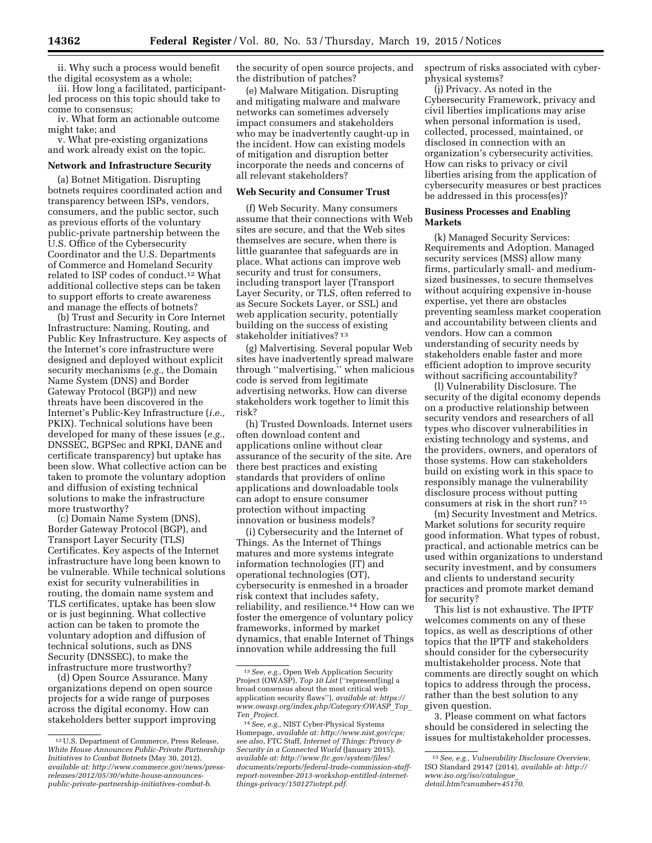ii. Why such a process would benefit the digital ecosystem as a whole;

iii. How long a facilitated, participantled process on this topic should take to come to consensus;

iv. What form an actionable outcome might take; and

v. What pre-existing organizations and work already exist on the topic.

## **Network and Infrastructure Security**

(a) Botnet Mitigation. Disrupting botnets requires coordinated action and transparency between ISPs, vendors, consumers, and the public sector, such as previous efforts of the voluntary public-private partnership between the U.S. Office of the Cybersecurity Coordinator and the U.S. Departments of Commerce and Homeland Security related to ISP codes of conduct.12 What additional collective steps can be taken to support efforts to create awareness and manage the effects of botnets?

(b) Trust and Security in Core Internet Infrastructure: Naming, Routing, and Public Key Infrastructure. Key aspects of the Internet's core infrastructure were designed and deployed without explicit security mechanisms (*e.g.,* the Domain Name System (DNS) and Border Gateway Protocol (BGP)) and new threats have been discovered in the Internet's Public-Key Infrastructure (*i.e.,*  PKIX). Technical solutions have been developed for many of these issues (*e.g.,*  DNSSEC, BGPSec and RPKI, DANE and certificate transparency) but uptake has been slow. What collective action can be taken to promote the voluntary adoption and diffusion of existing technical solutions to make the infrastructure more trustworthy?

(c) Domain Name System (DNS), Border Gateway Protocol (BGP), and Transport Layer Security (TLS) Certificates. Key aspects of the Internet infrastructure have long been known to be vulnerable. While technical solutions exist for security vulnerabilities in routing, the domain name system and TLS certificates, uptake has been slow or is just beginning. What collective action can be taken to promote the voluntary adoption and diffusion of technical solutions, such as DNS Security (DNSSEC), to make the infrastructure more trustworthy?

(d) Open Source Assurance. Many organizations depend on open source projects for a wide range of purposes across the digital economy. How can stakeholders better support improving the security of open source projects, and the distribution of patches?

(e) Malware Mitigation. Disrupting and mitigating malware and malware networks can sometimes adversely impact consumers and stakeholders who may be inadvertently caught-up in the incident. How can existing models of mitigation and disruption better incorporate the needs and concerns of all relevant stakeholders?

#### **Web Security and Consumer Trust**

(f) Web Security. Many consumers assume that their connections with Web sites are secure, and that the Web sites themselves are secure, when there is little guarantee that safeguards are in place. What actions can improve web security and trust for consumers, including transport layer (Transport Layer Security, or TLS, often referred to as Secure Sockets Layer, or SSL) and web application security, potentially building on the success of existing stakeholder initiatives? 13

(g) Malvertising. Several popular Web sites have inadvertently spread malware through ''malvertising,'' when malicious code is served from legitimate advertising networks. How can diverse stakeholders work together to limit this risk?

(h) Trusted Downloads. Internet users often download content and applications online without clear assurance of the security of the site. Are there best practices and existing standards that providers of online applications and downloadable tools can adopt to ensure consumer protection without impacting innovation or business models?

(i) Cybersecurity and the Internet of Things. As the Internet of Things matures and more systems integrate information technologies (IT) and operational technologies (OT), cybersecurity is enmeshed in a broader risk context that includes safety, reliability, and resilience.14 How can we foster the emergence of voluntary policy frameworks, informed by market dynamics, that enable Internet of Things innovation while addressing the full

spectrum of risks associated with cyberphysical systems?

(j) Privacy. As noted in the Cybersecurity Framework, privacy and civil liberties implications may arise when personal information is used, collected, processed, maintained, or disclosed in connection with an organization's cybersecurity activities. How can risks to privacy or civil liberties arising from the application of cybersecurity measures or best practices be addressed in this process(es)?

## **Business Processes and Enabling Markets**

(k) Managed Security Services: Requirements and Adoption. Managed security services (MSS) allow many firms, particularly small- and mediumsized businesses, to secure themselves without acquiring expensive in-house expertise, yet there are obstacles preventing seamless market cooperation and accountability between clients and vendors. How can a common understanding of security needs by stakeholders enable faster and more efficient adoption to improve security without sacrificing accountability?

(l) Vulnerability Disclosure. The security of the digital economy depends on a productive relationship between security vendors and researchers of all types who discover vulnerabilities in existing technology and systems, and the providers, owners, and operators of those systems. How can stakeholders build on existing work in this space to responsibly manage the vulnerability disclosure process without putting consumers at risk in the short run? 15

(m) Security Investment and Metrics. Market solutions for security require good information. What types of robust, practical, and actionable metrics can be used within organizations to understand security investment, and by consumers and clients to understand security practices and promote market demand for security?

This list is not exhaustive. The IPTF welcomes comments on any of these topics, as well as descriptions of other topics that the IPTF and stakeholders should consider for the cybersecurity multistakeholder process. Note that comments are directly sought on which topics to address through the process, rather than the best solution to any given question.

3. Please comment on what factors should be considered in selecting the issues for multistakeholder processes.

<sup>12</sup>U.S. Department of Commerce, Press Release, *White House Announces Public-Private Partnership Initiatives to Combat Botnets* (May 30, 2012), *available at[: http://www.commerce.gov/news/press](http://www.commerce.gov/news/press-releases/2012/05/30/white-house-announces-public-private-partnership-initiatives-combat-b)[releases/2012/05/30/white-house-announces](http://www.commerce.gov/news/press-releases/2012/05/30/white-house-announces-public-private-partnership-initiatives-combat-b)[public-private-partnership-initiatives-combat-b.](http://www.commerce.gov/news/press-releases/2012/05/30/white-house-announces-public-private-partnership-initiatives-combat-b)* 

<sup>13</sup>*See, e.g.,* Open Web Application Security Project (OWASP), *Top 10 List* (''represent[ing] a broad consensus about the most critical web application security flaws''), *available at: [https://](https://www.owasp.org/index.php/Category:OWASP_Top_Ten_Project) [www.owasp.org/index.php/Category:OWASP](https://www.owasp.org/index.php/Category:OWASP_Top_Ten_Project)*\_*Top*\_ *Ten*\_*[Project.](https://www.owasp.org/index.php/Category:OWASP_Top_Ten_Project)* 

<sup>14</sup>*See, e.g.,* NIST Cyber-Physical Systems Homepage, *available at: [http://www.nist.gov/cps;](http://www.nist.gov/cps) see also,* FTC Staff, *Internet of Things: Privacy & Security in a Connected World* (January 2015), *available at[: http://www.ftc.gov/system/files/](http://www.ftc.gov/system/files/documents/reports/federal-trade-commission-staff-report-november-2013-workshop-entitled-internet-things-privacy/150127iotrpt.pdf) [documents/reports/federal-trade-commission-staff](http://www.ftc.gov/system/files/documents/reports/federal-trade-commission-staff-report-november-2013-workshop-entitled-internet-things-privacy/150127iotrpt.pdf)[report-november-2013-workshop-entitled-internet](http://www.ftc.gov/system/files/documents/reports/federal-trade-commission-staff-report-november-2013-workshop-entitled-internet-things-privacy/150127iotrpt.pdf)[things-privacy/150127iotrpt.pdf.](http://www.ftc.gov/system/files/documents/reports/federal-trade-commission-staff-report-november-2013-workshop-entitled-internet-things-privacy/150127iotrpt.pdf)* 

<sup>15</sup>*See, e.g., Vulnerability Disclosure Overview,*  ISO Standard 29147 (2014), *available at: [http://](http://www.iso.org/iso/catalogue_detail.htm?csnumber=45170) [www.iso.org/iso/catalogue](http://www.iso.org/iso/catalogue_detail.htm?csnumber=45170)*\_ *[detail.htm?csnumber=45170](http://www.iso.org/iso/catalogue_detail.htm?csnumber=45170)*.